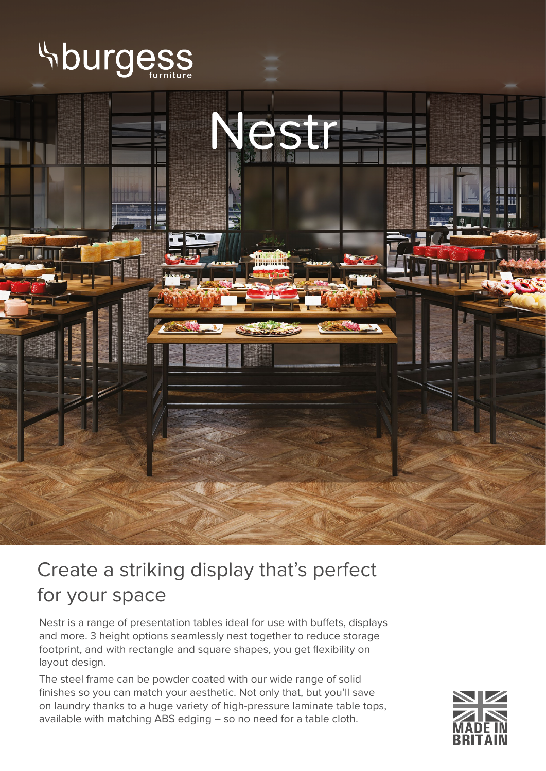



## Create a striking display that's perfect for your space

Nestr is a range of presentation tables ideal for use with buffets, displays and more. 3 height options seamlessly nest together to reduce storage footprint, and with rectangle and square shapes, you get flexibility on layout design.

The steel frame can be powder coated with our wide range of solid finishes so you can match your aesthetic. Not only that, but you'll save on laundry thanks to a huge variety of high-pressure laminate table tops, available with matching ABS edging – so no need for a table cloth.